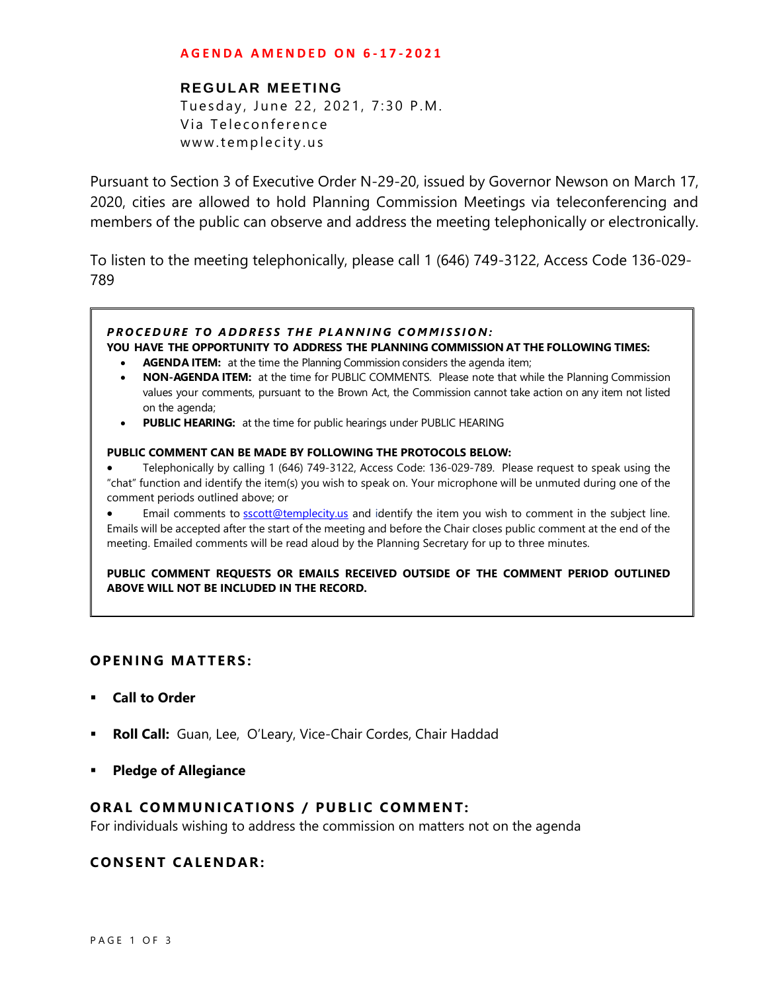#### **A G E N D A A M E N D E D O N 6 - 1 7 - 2 0 2 1**

## **REGULAR MEETING**

Tuesday, June 22, 2021, 7:30 P.M. Via Teleconference www.templecity.us

Pursuant to Section 3 of Executive Order N-29-20, issued by Governor Newson on March 17, 2020, cities are allowed to hold Planning Commission Meetings via teleconferencing and members of the public can observe and address the meeting telephonically or electronically.

To listen to the meeting telephonically, please call 1 (646) 749-3122, Access Code 136-029- 789

#### **PROCEDURE TO ADDRESS THE PLANNING COMMISSION: YOU HAVE THE OPPORTUNITY TO ADDRESS THE PLANNING COMMISSION AT THE FOLLOWING TIMES: AGENDA ITEM:** at the time the Planning Commission considers the agenda item;

- **NON-AGENDA ITEM:** at the time for PUBLIC COMMENTS. Please note that while the Planning Commission values your comments, pursuant to the Brown Act, the Commission cannot take action on any item not listed on the agenda;
- **PUBLIC HEARING:** at the time for public hearings under PUBLIC HEARING

#### **PUBLIC COMMENT CAN BE MADE BY FOLLOWING THE PROTOCOLS BELOW:**

 Telephonically by calling 1 (646) 749-3122, Access Code: 136-029-789. Please request to speak using the "chat" function and identify the item(s) you wish to speak on. Your microphone will be unmuted during one of the comment periods outlined above; or

Email comments to **[sscott@templecity.us](mailto:sscott@templecity.us)** and identify the item you wish to comment in the subject line. Emails will be accepted after the start of the meeting and before the Chair closes public comment at the end of the meeting. Emailed comments will be read aloud by the Planning Secretary for up to three minutes.

**PUBLIC COMMENT REQUESTS OR EMAILS RECEIVED OUTSIDE OF THE COMMENT PERIOD OUTLINED ABOVE WILL NOT BE INCLUDED IN THE RECORD.**

## **OPEN ING MAT TERS :**

- **Call to Order**
- **Roll Call:** Guan, Lee, O'Leary, Vice-Chair Cordes, Chair Haddad
- **Pledge of Allegiance**

## **ORAL COMMUNICATIONS / PUBLIC COMMENT:**

For individuals wishing to address the commission on matters not on the agenda

## **CONSENT CA LENDAR:**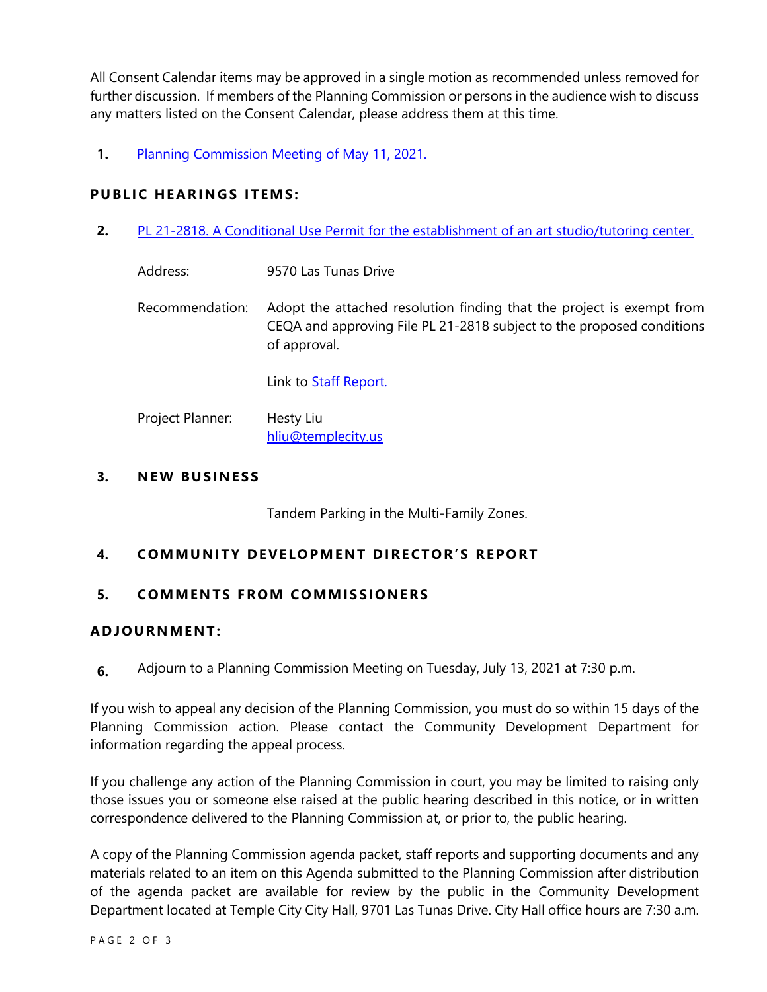All Consent Calendar items may be approved in a single motion as recommended unless removed for further discussion. If members of the Planning Commission or persons in the audience wish to discuss any matters listed on the Consent Calendar, please address them at this time.

**1.** [Planning Commission Meeting of](https://www.ci.temple-city.ca.us/DocumentCenter/View/16392/PCM-5-11-minutes) May 11, 2021.

## **PUBLIC HEARINGS ITEMS:**

**2.** PL 21-2818. A Conditional Use Permit for the establishment of an art studio/tutoring center.

| Address: | 9570 Las Tunas Drive |
|----------|----------------------|
|          |                      |

Recommendation: Adopt the attached resolution finding that the project is exempt from CEQA and approving File PL 21-2818 subject to the proposed conditions of approval.

Link to **Staff Report.** 

Project Planner: Hesty Liu hliu@templecity.us

## **3. NE W BUSINESS**

Tandem Parking in the Multi-Family Zones.

# **4. COMMUNI TY DE VELOPM ENT DI RE CTOR'S R EPORT**

## **5. COMMEN TS F ROM COMM ISSIONE RS**

## **ADJOU RNMENT:**

**6.** Adjourn to a Planning Commission Meeting on Tuesday, July 13, 2021 at 7:30 p.m.

If you wish to appeal any decision of the Planning Commission, you must do so within 15 days of the Planning Commission action. Please contact the Community Development Department for information regarding the appeal process.

If you challenge any action of the Planning Commission in court, you may be limited to raising only those issues you or someone else raised at the public hearing described in this notice, or in written correspondence delivered to the Planning Commission at, or prior to, the public hearing.

A copy of the Planning Commission agenda packet, staff reports and supporting documents and any materials related to an item on this Agenda submitted to the Planning Commission after distribution of the agenda packet are available for review by the public in the Community Development Department located at Temple City City Hall, 9701 Las Tunas Drive. City Hall office hours are 7:30 a.m.